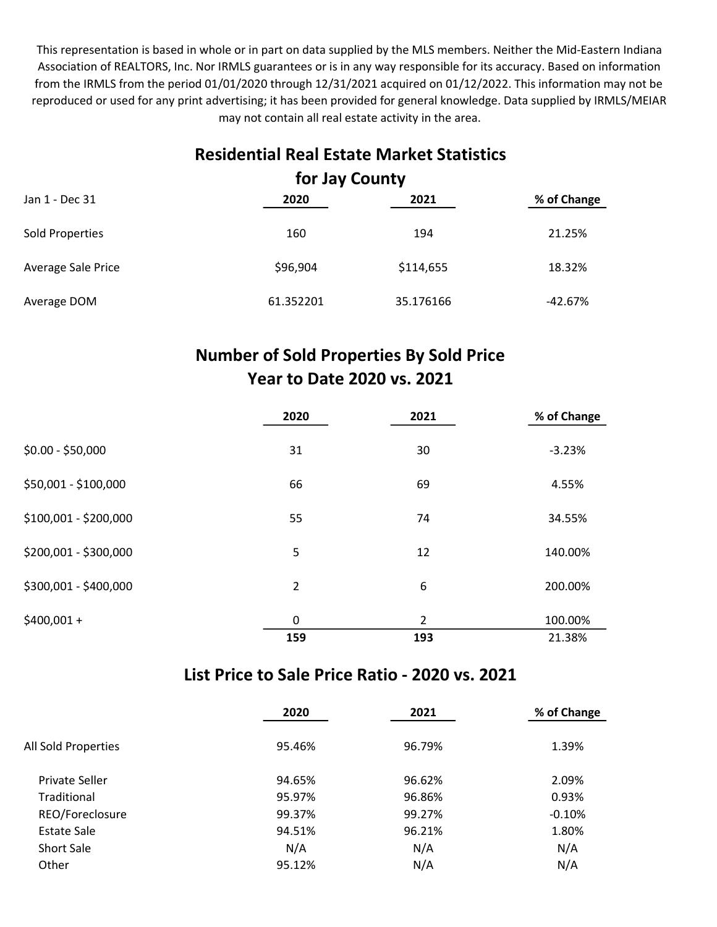This representation is based in whole or in part on data supplied by the MLS members. Neither the Mid-Eastern Indiana Association of REALTORS, Inc. Nor IRMLS guarantees or is in any way responsible for its accuracy. Based on information from the IRMLS from the period 01/01/2020 through 12/31/2021 acquired on 01/12/2022. This information may not be reproduced or used for any print advertising; it has been provided for general knowledge. Data supplied by IRMLS/MEIAR may not contain all real estate activity in the area.

### Residential Real Estate Market Statistics for Jay County

| Jan 1 - Dec 31     | 2020      | 2021      | % of Change |
|--------------------|-----------|-----------|-------------|
| Sold Properties    | 160       | 194       | 21.25%      |
| Average Sale Price | \$96,904  | \$114,655 | 18.32%      |
| Average DOM        | 61.352201 | 35.176166 | $-42.67%$   |

## Number of Sold Properties By Sold Price Year to Date 2020 vs. 2021

|                       | 2020           | 2021           | % of Change |
|-----------------------|----------------|----------------|-------------|
| $$0.00 - $50,000$     | 31             | 30             | $-3.23%$    |
| \$50,001 - \$100,000  | 66             | 69             | 4.55%       |
| \$100,001 - \$200,000 | 55             | 74             | 34.55%      |
| \$200,001 - \$300,000 | 5              | 12             | 140.00%     |
| \$300,001 - \$400,000 | $\overline{2}$ | 6              | 200.00%     |
| $$400,001 +$          | 0              | $\overline{2}$ | 100.00%     |
|                       | 159            | 193            | 21.38%      |

#### List Price to Sale Price Ratio - 2020 vs. 2021

|                     | 2020   | 2021   | % of Change |
|---------------------|--------|--------|-------------|
| All Sold Properties | 95.46% | 96.79% | 1.39%       |
| Private Seller      | 94.65% | 96.62% | 2.09%       |
| Traditional         | 95.97% | 96.86% | 0.93%       |
| REO/Foreclosure     | 99.37% | 99.27% | $-0.10%$    |
| <b>Estate Sale</b>  | 94.51% | 96.21% | 1.80%       |
| <b>Short Sale</b>   | N/A    | N/A    | N/A         |
| Other               | 95.12% | N/A    | N/A         |
|                     |        |        |             |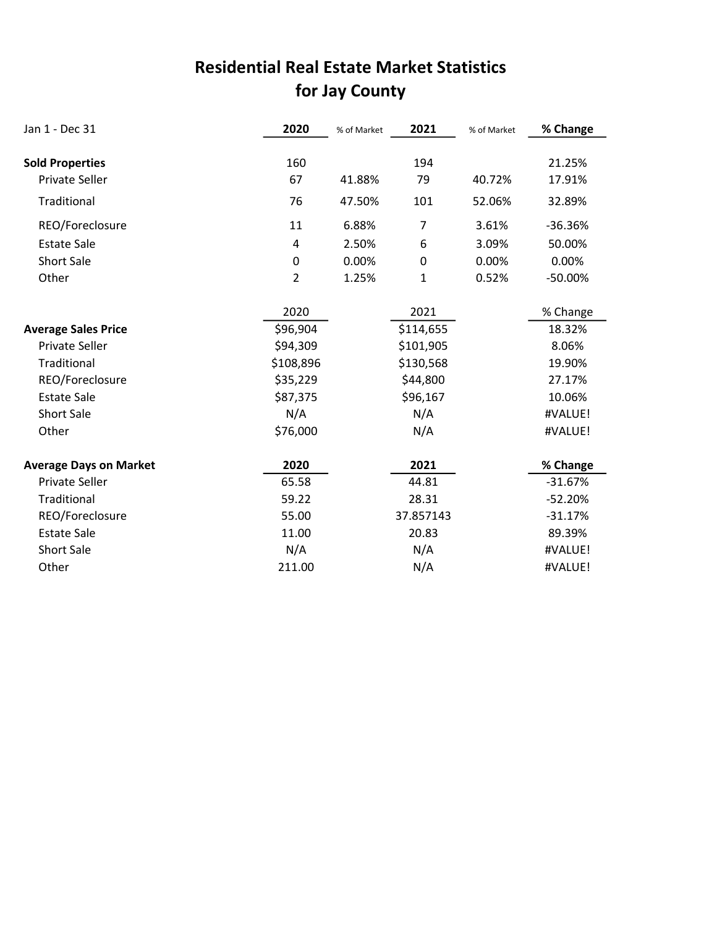## for Jay County Residential Real Estate Market Statistics

| Jan 1 - Dec 31                | 2020           | % of Market | 2021      | % of Market | % Change  |
|-------------------------------|----------------|-------------|-----------|-------------|-----------|
|                               |                |             |           |             |           |
| <b>Sold Properties</b>        | 160            |             | 194       |             | 21.25%    |
| <b>Private Seller</b>         | 67             | 41.88%      | 79        | 40.72%      | 17.91%    |
| Traditional                   | 76             | 47.50%      | 101       | 52.06%      | 32.89%    |
| REO/Foreclosure               | 11             | 6.88%       | 7         | 3.61%       | -36.36%   |
| <b>Estate Sale</b>            | 4              | 2.50%       | 6         | 3.09%       | 50.00%    |
| <b>Short Sale</b>             | 0              | 0.00%       | 0         | 0.00%       | 0.00%     |
| Other                         | $\overline{2}$ | 1.25%       | 1         | 0.52%       | $-50.00%$ |
|                               | 2020           |             | 2021      |             | % Change  |
| <b>Average Sales Price</b>    | \$96,904       |             | \$114,655 |             | 18.32%    |
| <b>Private Seller</b>         | \$94,309       |             | \$101,905 |             | 8.06%     |
| Traditional                   | \$108,896      |             | \$130,568 |             | 19.90%    |
| REO/Foreclosure               | \$35,229       |             | \$44,800  |             | 27.17%    |
| <b>Estate Sale</b>            | \$87,375       |             | \$96,167  |             | 10.06%    |
| <b>Short Sale</b>             | N/A            |             | N/A       |             | #VALUE!   |
| Other                         | \$76,000       |             | N/A       |             | #VALUE!   |
| <b>Average Days on Market</b> | 2020           |             | 2021      |             | % Change  |
| <b>Private Seller</b>         | 65.58          |             | 44.81     |             | $-31.67%$ |
| Traditional                   | 59.22          |             | 28.31     |             | $-52.20%$ |
| REO/Foreclosure               | 55.00          |             | 37.857143 |             | $-31.17%$ |
| <b>Estate Sale</b>            | 11.00          |             | 20.83     |             | 89.39%    |
| <b>Short Sale</b>             | N/A            |             | N/A       |             | #VALUE!   |
| Other                         | 211.00         |             | N/A       |             | #VALUE!   |